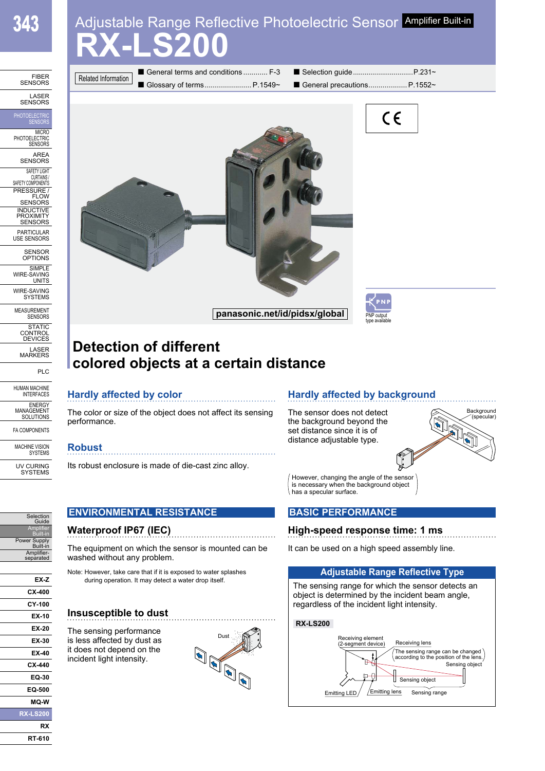# **RX-LS200** Adjustable Range Reflective Photoelectric Sensor Amplifier Built-in

| <b>FIBER</b><br><b>SENSORS</b>                                                                                                                           |
|----------------------------------------------------------------------------------------------------------------------------------------------------------|
| LASER<br><b>SENSORS</b>                                                                                                                                  |
| PHOTOELECTRIC                                                                                                                                            |
| MICRO<br>PHOTOELECTRIC<br><b>SENSORS</b>                                                                                                                 |
| AREA<br><b>SENS</b><br><b>RS</b>                                                                                                                         |
| SAFETY LIGHT<br><b>CURTAINS</b><br>SAFETY COMPONENTS<br>RESSURE<br>RESSURE<br>ELON<br>ĴW<br><b>SENSORS</b><br>INDUCTIV<br>INDUCTIV<br>PROXIMIT<br>Έ<br>F |
| <b>SENSORS</b><br>PARTICULAR<br><b>USE SENSORS</b>                                                                                                       |
| <b>SENSOR</b><br>PTIONS                                                                                                                                  |
| <b>SIMPLE</b><br>WIRE<br>ኔAVING<br><b>UNITS</b>                                                                                                          |
| WIRE-SAVING<br><b>SYSTEMS</b>                                                                                                                            |
| MEASUREMENT<br><b>SENSORS</b>                                                                                                                            |
| <b>STATIC</b><br>CONTROL<br><b>DEVIC</b><br>ίE<br>K                                                                                                      |
| ASER<br><b>MARKERS</b>                                                                                                                                   |
| <b>PLC</b>                                                                                                                                               |
| HUMAN MACHINE<br>INTERFACES                                                                                                                              |
| <b>ENERGY</b><br>MANAGEMENT<br>SOLUTIONS                                                                                                                 |
| <b>FA COMPONENTS</b>                                                                                                                                     |
| <b>MACHINE VISION</b><br><b>SYSTEMS</b>                                                                                                                  |
| U١<br>V CURING<br>SYSTEMS                                                                                                                                |
|                                                                                                                                                          |



## **Detection of different colored objects at a certain distance**

### **Hardly affected by color**

The color or size of the object does not affect its sensing performance.

#### **Robust**

Its robust enclosure is made of die-cast zinc alloy.

**ENVIRONMENTAL RESISTANCE**

### **Hardly affected by background**

The sensor does not detect the background beyond the set distance since it is of distance adjustable type.



However, changing the angle of the sensor is necessary when the background object has a specular surface.

### **BASIC PERFORMANCE**

### **High-speed response time: 1 ms**

It can be used on a high speed assembly line.

### **Adjustable Range Reflective Type**

The sensing range for which the sensor detects an object is determined by the incident beam angle, regardless of the incident light intensity.

#### **RX-LS200**



#### Guide Amplifier Built-in Power Supply Built-in **Waterproof IP67 (IEC)**

Selection

Ampl separated

**EX-Z CX-400 CY-100 EX-10 EX-20 EX-30 EX-40 CX-440 EQ-30 EQ-500 MQ-W RX-LS200 RX RT-610**

The equipment on which the sensor is mounted can be washed without any problem.

Note: However, take care that if it is exposed to water splashes during operation. It may detect a water drop itself.

### **Insusceptible to dust**

The sensing performance is less affected by dust as it does not depend on the incident light intensity.

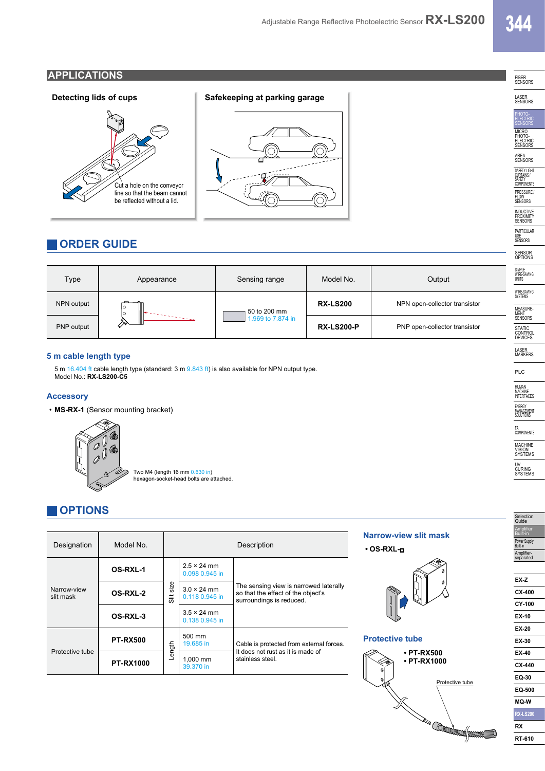### **APPLICATIONS**



### **ORDER GUIDE**

| Type       | Appearance                                      | Sensing range                     | Model No.         | Output                        |
|------------|-------------------------------------------------|-----------------------------------|-------------------|-------------------------------|
| NPN output | Ш<br>lо<br>lo<br>$\mathbb{I}$<br>in Sales Color | 50 to 200 mm<br>1.969 to 7.874 in | <b>RX-LS200</b>   | NPN open-collector transistor |
| PNP output |                                                 |                                   | <b>RX-LS200-P</b> | PNP open-collector transistor |

#### **5 m cable length type**

5 m 16.404 ft cable length type (standard: 3 m 9.843 ft) is also available for NPN output type. Model No.: **RX-LS200-C5**

#### **Accessory**

• **MS-RX-1** (Sensor mounting bracket)



Two M4 (length 16 mm <mark>0.630 in)</mark><br>hexagon-socket-head bolts are attached.

### **OPTIONS**

| Designation              | Model No.        | Description  |                                      | Narrow-view slit mask<br>$\cdot$ OS-RXL- $\Box$                                                          |                                       |  |
|--------------------------|------------------|--------------|--------------------------------------|----------------------------------------------------------------------------------------------------------|---------------------------------------|--|
| Narrow-view<br>slit mask | OS-RXL-1         | size<br>Slit | $2.5 \times 24$ mm<br>0.098 0.945 in | The sensing view is narrowed laterally<br>so that the effect of the object's<br>surroundings is reduced. |                                       |  |
|                          | OS-RXL-2         |              | $3.0 \times 24$ mm<br>0.118 0.945 in |                                                                                                          |                                       |  |
|                          | OS-RXL-3         |              | $3.5 \times 24$ mm<br>0.138 0.945 in |                                                                                                          |                                       |  |
| Protective tube          | <b>PT-RX500</b>  | ngth         | 500 mm<br>19.685 in                  | Cable is protected from external forces.<br>It does not rust as it is made of<br>stainless steel.        | <b>Protective tube</b>                |  |
|                          | <b>PT-RX1000</b> | 으            | 1.000 mm<br>39.370 in                |                                                                                                          | $\cdot$ PT-RX500<br>$\cdot$ PT-RX1000 |  |







PLC ENERGY MANAGEMENT SOLUTIONS MACHINE UV CURING SYSTEMS Selection Guide **Amplifier** Built-in Power Supply Built-in Amplifier-separated **EX-Z CX-400 CY-100 EX-10 EX-20**

**EX-30 EX-40 CX-440 EQ-30 EQ-500 MQ-W RX-LS200**

FIBER SENSORS LASER SENSORS

PHOTO-<br>ELECTRIC **SENSORS** MICRO<br>PHOTO-<br>ELECTRIC<br>SENSORS AREA SENSORS SAFETY LIGHT

CURTAINS / SAFETY COMPONENTS PRESSURE / FLOW SENSORS INDUCTIVE PROXIMITY SENSORS

PARTICULAR USE SENSORS

SENSOR OPTIONS

SIMPLE WIRE-SAVING UNITS

WIRE-SAVING SYSTEMS

MEASURE-<br>MENT<br>SENSORS

STATIC<br>CONTROL<br>DEVICES

LASER MARKERS

HUMAN MACHINE INTERFACES

FA COMPONENTS

VISION SYSTEMS

**RX RT-610**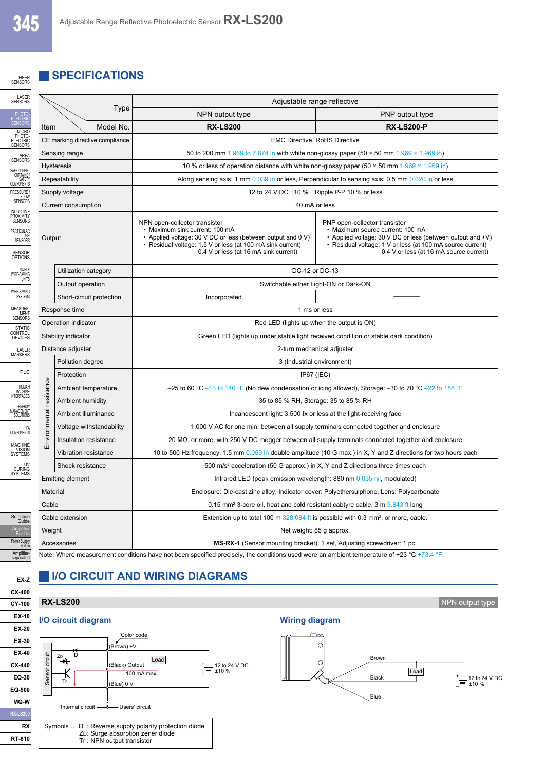FIBER<br>SENSORS

**EX-Z CX-400**

**RX RT-610**

#### **SPECIFICATIONS**

|                                                                                                                                           |                          | Adjustable range reflective                                                                                                                                                                                                           |                                                                                                                                                                                                                                          |  |  |  |
|-------------------------------------------------------------------------------------------------------------------------------------------|--------------------------|---------------------------------------------------------------------------------------------------------------------------------------------------------------------------------------------------------------------------------------|------------------------------------------------------------------------------------------------------------------------------------------------------------------------------------------------------------------------------------------|--|--|--|
|                                                                                                                                           | Type                     | NPN output type                                                                                                                                                                                                                       | PNP output type                                                                                                                                                                                                                          |  |  |  |
| Item                                                                                                                                      | Model No.                | <b>RX-LS200</b>                                                                                                                                                                                                                       | <b>RX-LS200-P</b>                                                                                                                                                                                                                        |  |  |  |
| CE marking directive compliance                                                                                                           |                          | <b>EMC Directive, RoHS Directive</b>                                                                                                                                                                                                  |                                                                                                                                                                                                                                          |  |  |  |
|                                                                                                                                           | Sensing range            | 50 to 200 mm 1.969 to 7.874 in with white non-glossy paper (50 $\times$ 50 mm 1.969 $\times$ 1.969 in)                                                                                                                                |                                                                                                                                                                                                                                          |  |  |  |
|                                                                                                                                           | <b>Hysteresis</b>        | 10 % or less of operation distance with white non-glossy paper (50 $\times$ 50 mm 1.969 $\times$ 1.969 in)                                                                                                                            |                                                                                                                                                                                                                                          |  |  |  |
|                                                                                                                                           | Repeatability            | Along sensing axis: 1 mm 0.039 in or less, Perpendicular to sensing axis: 0.5 mm 0.020 in or less                                                                                                                                     |                                                                                                                                                                                                                                          |  |  |  |
|                                                                                                                                           | Supply voltage           | 12 to 24 V DC ±10 % Ripple P-P 10 % or less                                                                                                                                                                                           |                                                                                                                                                                                                                                          |  |  |  |
|                                                                                                                                           | Current consumption      | 40 mA or less                                                                                                                                                                                                                         |                                                                                                                                                                                                                                          |  |  |  |
| Output                                                                                                                                    |                          | NPN open-collector transistor<br>• Maximum sink current: 100 mA<br>• Applied voltage: 30 V DC or less (between output and 0 V)<br>• Residual voltage: 1.5 V or less (at 100 mA sink current)<br>0.4 V or less (at 16 mA sink current) | PNP open-collector transistor<br>• Maximum source current: 100 mA<br>• Applied voltage: 30 V DC or less (between output and +V)<br>• Residual voltage: 1 V or less (at 100 mA source current)<br>0.4 V or less (at 16 mA source current) |  |  |  |
|                                                                                                                                           | Utilization category     | DC-12 or DC-13                                                                                                                                                                                                                        |                                                                                                                                                                                                                                          |  |  |  |
|                                                                                                                                           | Output operation         | Switchable either Light-ON or Dark-ON                                                                                                                                                                                                 |                                                                                                                                                                                                                                          |  |  |  |
|                                                                                                                                           | Short-circuit protection | Incorporated                                                                                                                                                                                                                          |                                                                                                                                                                                                                                          |  |  |  |
|                                                                                                                                           | Response time            | 1 ms or less                                                                                                                                                                                                                          |                                                                                                                                                                                                                                          |  |  |  |
| Operation indicator                                                                                                                       |                          | Red LED (lights up when the output is ON)                                                                                                                                                                                             |                                                                                                                                                                                                                                          |  |  |  |
| Stability indicator                                                                                                                       |                          | Green LED (lights up under stable light received condition or stable dark condition)                                                                                                                                                  |                                                                                                                                                                                                                                          |  |  |  |
| Distance adjuster                                                                                                                         |                          | 2-turn mechanical adjuster                                                                                                                                                                                                            |                                                                                                                                                                                                                                          |  |  |  |
|                                                                                                                                           | Pollution degree         | 3 (Industrial environment)                                                                                                                                                                                                            |                                                                                                                                                                                                                                          |  |  |  |
|                                                                                                                                           | Protection               | IP67 (IEC)                                                                                                                                                                                                                            |                                                                                                                                                                                                                                          |  |  |  |
| resistance                                                                                                                                | Ambient temperature      | $-25$ to 60 °C $-13$ to 140 °F (No dew condensation or icing allowed), Storage: $-30$ to 70 °C $-22$ to 158 °F                                                                                                                        |                                                                                                                                                                                                                                          |  |  |  |
|                                                                                                                                           | Ambient humidity         | 35 to 85 % RH, Storage: 35 to 85 % RH                                                                                                                                                                                                 |                                                                                                                                                                                                                                          |  |  |  |
|                                                                                                                                           | Ambient illuminance      | Incandescent light: 3,500 lx or less at the light-receiving face                                                                                                                                                                      |                                                                                                                                                                                                                                          |  |  |  |
|                                                                                                                                           | Voltage withstandability | 1,000 V AC for one min. between all supply terminals connected together and enclosure                                                                                                                                                 |                                                                                                                                                                                                                                          |  |  |  |
| Environmental                                                                                                                             | Insulation resistance    | 20 $\text{M}\Omega$ , or more, with 250 V DC megger between all supply terminals connected together and enclosure                                                                                                                     |                                                                                                                                                                                                                                          |  |  |  |
|                                                                                                                                           | Vibration resistance     |                                                                                                                                                                                                                                       | 10 to 500 Hz frequency, 1.5 mm 0.059 in double amplitude (10 G max.) in X, Y and Z directions for two hours each                                                                                                                         |  |  |  |
|                                                                                                                                           | Shock resistance         |                                                                                                                                                                                                                                       | 500 m/s <sup>2</sup> acceleration (50 G approx.) in X, Y and Z directions three times each                                                                                                                                               |  |  |  |
| <b>Emitting element</b>                                                                                                                   |                          | Infrared LED (peak emission wavelength: 880 nm 0.035mil, modulated)                                                                                                                                                                   |                                                                                                                                                                                                                                          |  |  |  |
| Material                                                                                                                                  |                          | Enclosure: Die-cast zinc alloy, Indicator cover: Polyethersulphone, Lens: Polycarbonate                                                                                                                                               |                                                                                                                                                                                                                                          |  |  |  |
| Cable                                                                                                                                     |                          | 0.15 mm <sup>2</sup> 3-core oil, heat and cold resistant cabtyre cable, 3 m 9.843 ft long                                                                                                                                             |                                                                                                                                                                                                                                          |  |  |  |
| Cable extension                                                                                                                           |                          | Extension up to total 100 m $328.084$ ft is possible with 0.3 mm <sup>2</sup> , or more, cable.                                                                                                                                       |                                                                                                                                                                                                                                          |  |  |  |
| Weight                                                                                                                                    |                          | Net weight: 85 g approx.                                                                                                                                                                                                              |                                                                                                                                                                                                                                          |  |  |  |
| Accessories                                                                                                                               |                          | <b>MS-RX-1</b> (Sensor mounting bracket): 1 set, Adjusting screwdriver: 1 pc.                                                                                                                                                         |                                                                                                                                                                                                                                          |  |  |  |
| Note: Where measurement conditions have not been specified precisely, the conditions used were an ambient temperature of +23 °C +73.4 °F. |                          |                                                                                                                                                                                                                                       |                                                                                                                                                                                                                                          |  |  |  |

### **I/O CIRCUIT AND WIRING DIAGRAMS**



Symbols … D : Reverse supply polarity protection diode ZD: Surge absorption zener diode Tr : NPN output transistor

**RX-LS200** NPN output type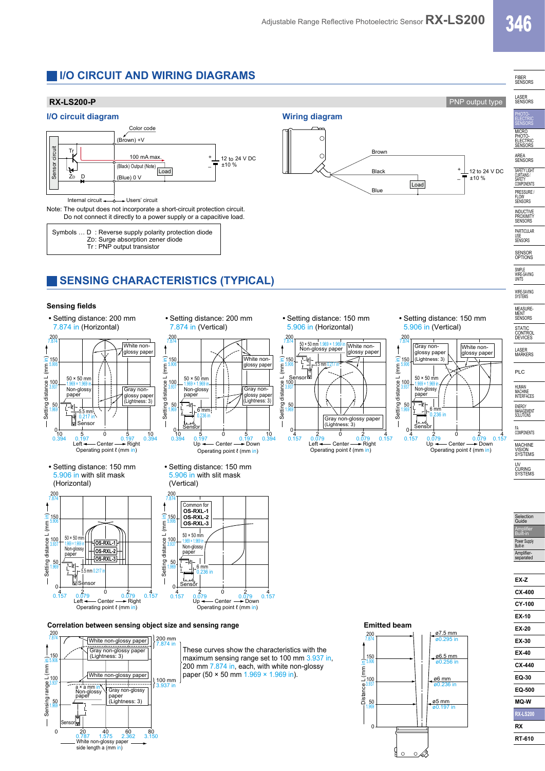**Brown** 

Blac Blue

**Load** 

### **I/O CIRCUIT AND WIRING DIAGRAMS**





Note: The output does not incorporate a short-circuit protection circuit. Do not connect it directly to a power supply or a capacitive load.

| Symbols  D: Reverse supply polarity protection diode |
|------------------------------------------------------|
|                                                      |
|                                                      |
|                                                      |

## **SENSING CHARACTERISTICS (TYPICAL)**

50

#### **Sensing fields**









**•** Setting distance: 200 mm



(Lightness: 3)

**•** Setting distance: 150 mm 5.906 in with slit mask (Vertical)



**Correlation between sensing object size and sensing range <b>Emitted beam Emitted beam** 



These curves show the characteristics with the maximum sensing range set to 100 mm 3.937 in. 200 mm 7.874 in, each, with white non-glossy paper (50 × 50 mm 1.969 × 1.969 in).

**•** Setting distance: 150 mm 5.906 in (Horizontal)

**Wiring diagram**

 $\ddot{C}$  $\overline{C}$ 



**•** Setting distance: 150 mm 5.906 in (Vertical)



Selection Guide **Amplifier** Built-in Power Supply Built-in Amp separa

**EX-Z CX-400 CY-100 EX-10 EX-20 EX-30 EX-40 CX-440 EQ-30 EQ-500 MQ-W RX-LS200 RX RT-610**



 $\Omega$ 

0 kB

### FIBER SENSORS LASER SENSORS

PHOTO-<br>ELECTRIC **SENSORS** MICRO<br>PHOTO-<br>ELECTRIC<br>SENSORS

AREA SENSORS SAFETY LIGHT CURTAINS / SAFETY COMPONENTS ±10 %

 + –

> PRESSURE / FLOW SENSORS **INDUCTIVE** PROXIMITY<br>SENSORS

PARTICULAR USE SENSORS

SENSOR OPTIONS

SIMPLE WIRE-SAVING UNITS

WIRE-SAVING SYSTEMS

MEASURE-<br>MENT<br>SENSORS **STATIC** 

CONTROL DEVICES LASER MARKERS

PLC

HUMAN MACHINE INTERFACES

ENERGY MANAGEMENT SOLUTIONS

FA COMPONENTS **MACHINE** VISION SYSTEMS

UV CURING SYSTEMS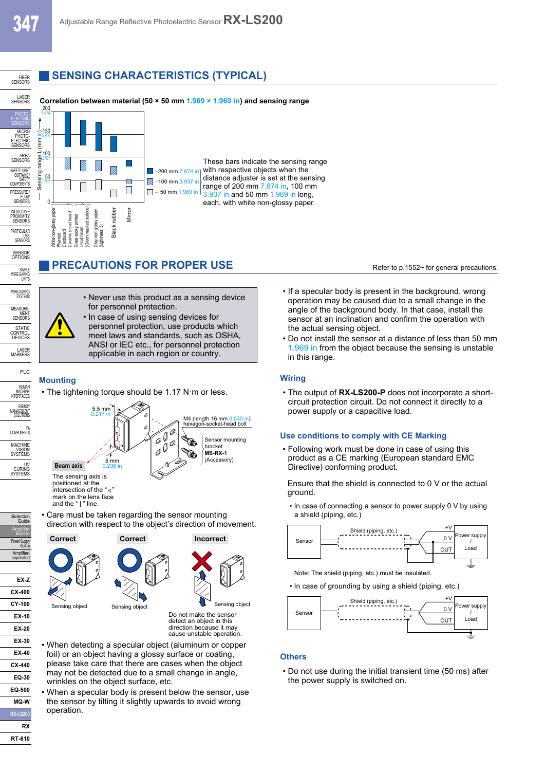SENSOR OPTIONS

SIMPLE WIRE-SAVING UNITS WIRE-SAVING<br>SYSTEMS

MEASURE- MENT SENSO<sub>p</sub> STATIC<br>CONTROL<br>DEVICES

LASER MARKERS PLC

HUMAN<br>MACHINE<br>INTERFACES

ENERGY<br>MANAGEMENT<br>SOLUTIONS

FA COMPONENTS MACHINE<br>VISION<br>SYSTEMS

UV<br>CURING<br>SYSTEMS

Selection Guide Amplifier Built-in Power Supply<br>Built-in Amp separated

**EX-Z CX-400 CY-100 EX-10 EX-20 EX-30 EX-40 CX-440 EQ-30 EQ-500 MQ-W RX-LS200**

### **SENSING CHARACTERISTICS (TYPICAL)**



### **PRECAUTIONS FOR PROPER USE** Refer to p.1552~ for general precautions.



- Never use this product as a sensing device for personnel protection.
- In case of using sensing devices for personnel protection, use products which meet laws and standards, such as OSHA, ANSI or IEC etc., for personnel protection applicable in each region or country.

#### **Mounting**

• The tightening torque should be 1.17 N·m or less.



intersection of the " $\triangleleft$ " mark on the lens face and the "I" line.

• Care must be taken regarding the sensor mounting direction with respect to the object's direction of movement.



• When detecting a specular object (aluminum or copper foil) or an object having a glossy surface or coating, please take care that there are cases when the object may not be detected due to a small change in angle, wrinkles on the object surface, etc.

cause unstable operation.

• When a specular body is present below the sensor, use the sensor by tilting it slightly upwards to avoid wrong operation.

- If a specular body is present in the background, wrong operation may be caused due to a small change in the angle of the background body. In that case, install the sensor at an inclination and confirm the operation with the actual sensing object.
- Do not install the sensor at a distance of less than 50 mm 1.969 in from the object because the sensing is unstable in this range.

#### **Wiring**

• The output of **RX-LS200-P** does not incorporate a shortcircuit protection circuit. Do not connect it directly to a power supply or a capacitive load.

#### **Use conditions to comply with CE Marking**

• Following work must be done in case of using this product as a CE marking (European standard EMC Directive) conforming product.

Ensure that the shield is connected to 0 V or the actual ground.

 • In case of connecting a sensor to power supply 0 V by using a shield (piping, etc.)



Note: The shield (piping, etc.) must be insulated.

• In case of grounding by using a shield (piping, etc.)



#### **Others**

• Do not use during the initial transient time (50 ms) after the power supply is switched on.